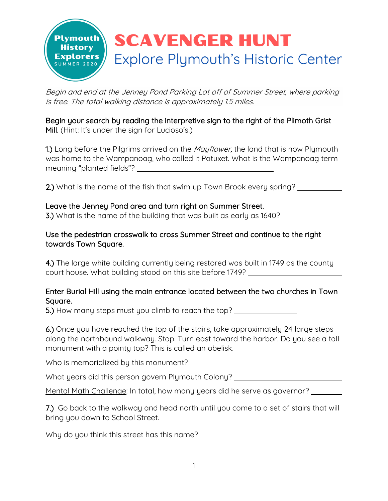

Begin and end at the Jenney Pond Parking Lot off of Summer Street, where parking is free. The total walking distance is approximately 1.5 miles.

Begin your search by reading the interpretive sign to the right of the Plimoth Grist Mill. (Hint: It's under the sign for Lucioso's.)

1.) Long before the Pilgrims arrived on the *Mayflower*, the land that is now Plymouth was home to the Wampanoag, who called it Patuxet. What is the Wampanoag term meaning "planted fields"?

2.) What is the name of the fish that swim up Town Brook every spring?

#### Leave the Jenney Pond area and turn right on Summer Street.

3.) What is the name of the building that was built as early as 1640?

### Use the pedestrian crosswalk to cross Summer Street and continue to the right towards Town Square.

4.) The large white building currently being restored was built in 1749 as the county court house. What building stood on this site before 1749?

# Enter Burial Hill using the main entrance located between the two churches in Town Square.

5.) How many steps must you climb to reach the top? \_\_\_\_\_\_\_\_\_\_\_\_\_\_\_\_\_\_\_\_\_\_\_\_\_\_\_\_

6.) Once you have reached the top of the stairs, take approximately 24 large steps along the northbound walkway. Stop. Turn east toward the harbor. Do you see a tall monument with a pointy top? This is called an obelisk.

Who is memorialized by this monument?

What years did this person govern Plymouth Colony?

Mental Math Challenge: In total, how many years did he serve as governor?

7.) Go back to the walkway and head north until you come to a set of stairs that will bring you down to School Street.

Why do you think this street has this name?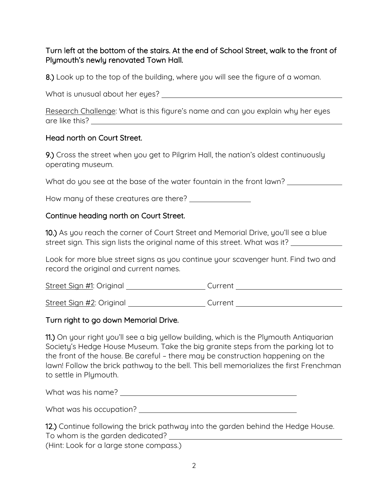# Turn left at the bottom of the stairs. At the end of School Street, walk to the front of Plymouth's newly renovated Town Hall.

8.) Look up to the top of the building, where you will see the figure of a woman.

What is unusual about her eyes?

Research Challenge: What is this figure's name and can you explain why her eyes are like this?

#### Head north on Court Street.

9.) Cross the street when you get to Pilgrim Hall, the nation's oldest continuously operating museum.

What do you see at the base of the water fountain in the front lawn?

How many of these creatures are there?

#### Continue heading north on Court Street.

10.) As you reach the corner of Court Street and Memorial Drive, you'll see a blue street sign. This sign lists the original name of this street. What was it?

Look for more blue street signs as you continue your scavenger hunt. Find two and record the original and current names.

Street Sign #1: Original Current

Street Sign #2: Original Current

#### Turn right to go down Memorial Drive.

11.) On your right you'll see a big yellow building, which is the Plymouth Antiquarian Society's Hedge House Museum. Take the big granite steps from the parking lot to the front of the house. Be careful – there may be construction happening on the lawn! Follow the brick pathway to the bell. This bell memorializes the first Frenchman to settle in Plymouth.

What was his name? What was his name?

What was his occupation? <u>example and the set of the set of the set of the set of the set of the set of the set of the set of the set of the set of the set of the set of the set of the set of the set of the set of the set </u>

|                                         | 12.) Continue following the brick pathway into the garden behind the Hedge House. |
|-----------------------------------------|-----------------------------------------------------------------------------------|
| To whom is the garden dedicated?        |                                                                                   |
| (Hint: Look for a large stone compass.) |                                                                                   |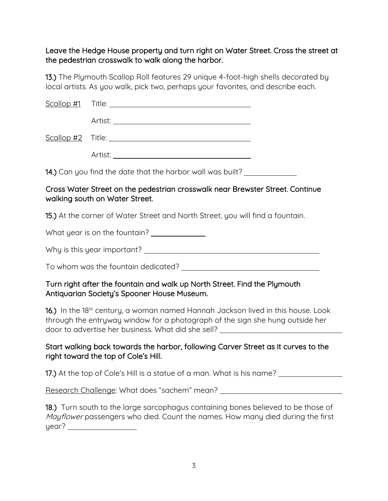### Leave the Hedge House property and turn right on Water Street. Cross the street at the pedestrian crosswalk to walk along the harbor.

13.) The Plymouth Scallop Roll features 29 unique 4-foot-high shells decorated by local artists. As you walk, pick two, perhaps your favorites, and describe each.

| 14.) Can you find the date that the harbor wall was built? |  |
|------------------------------------------------------------|--|

#### Cross Water Street on the pedestrian crosswalk near Brewster Street. Continue walking south on Water Street.

15.) At the corner of Water Street and North Street, you will find a fountain.

What year is on the fountain?

Why is this year important?

To whom was the fountain dedicated?

# Turn right after the fountain and walk up North Street. Find the Plymouth Antiquarian Society's Spooner House Museum.

16.) In the 18<sup>th</sup> century, a woman named Hannah Jackson lived in this house. Look through the entryway window for a photograph of the sign she hung outside her door to advertise her business. What did she sell?

# Start walking back towards the harbor, following Carver Street as it curves to the right toward the top of Cole's Hill.

17.) At the top of Cole's Hill is a statue of a man. What is his name?

Research Challenge: What does "sachem" mean?

|       | 18.) Turn south to the large sarcophagus containing bones believed to be those of     |
|-------|---------------------------------------------------------------------------------------|
|       | <i>Mayflower</i> passengers who died. Count the names. How many died during the first |
| year? |                                                                                       |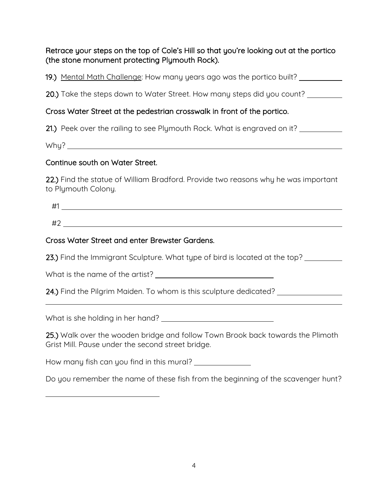# Retrace your steps on the top of Cole's Hill so that you're looking out at the portico (the stone monument protecting Plymouth Rock).

19.) Mental Math Challenge: How many years ago was the portico built?

20.) Take the steps down to Water Street. How many steps did you count?

# Cross Water Street at the pedestrian crosswalk in front of the portico.

21.) Peek over the railing to see Plymouth Rock. What is engraved on it?

Why?

# Continue south on Water Street.

22.) Find the statue of William Bradford. Provide two reasons why he was important to Plymouth Colony.

#1

#2

# Cross Water Street and enter Brewster Gardens.

23.) Find the Immigrant Sculpture. What type of bird is located at the top?

What is the name of the artist?

24.) Find the Pilgrim Maiden. To whom is this sculpture dedicated? \_\_\_\_\_\_\_\_\_\_\_\_

What is she holding in her hand?

25.) Walk over the wooden bridge and follow Town Brook back towards the Plimoth Grist Mill. Pause under the second street bridge.

How many fish can you find in this mural?

Do you remember the name of these fish from the beginning of the scavenger hunt?